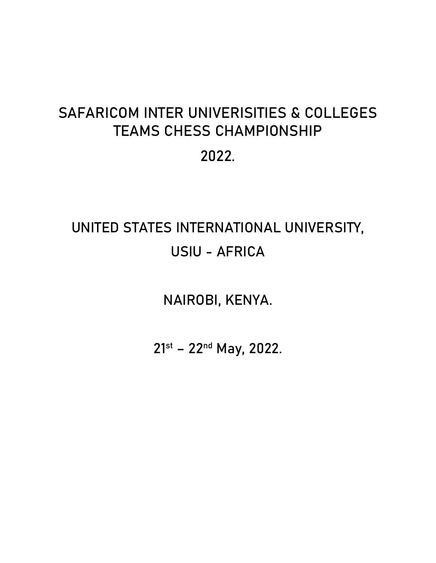# **SAFARICOM INTER UNIVERISITIES & COLLEGES TEAMS CHESS CHAMPIONSHIP 2022.**

# **UNITED STATES INTERNATIONAL UNIVERSITY, USIU - AFRICA**

**NAIROBI, KENYA.**

**21st – 22nd May, 2022.**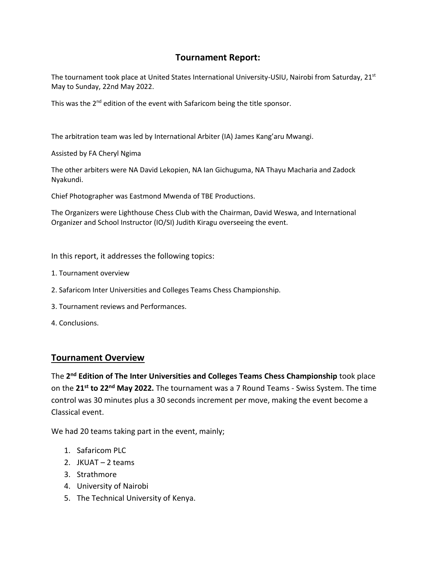## **Tournament Report:**

The tournament took place at United States International University-USIU, Nairobi from Saturday, 21<sup>st</sup> May to Sunday, 22nd May 2022.

This was the 2<sup>nd</sup> edition of the event with Safaricom being the title sponsor.

The arbitration team was led by International Arbiter (IA) James Kang'aru Mwangi.

Assisted by FA Cheryl Ngima

The other arbiters were NA David Lekopien, NA Ian Gichuguma, NA Thayu Macharia and Zadock Nyakundi.

Chief Photographer was Eastmond Mwenda of TBE Productions.

The Organizers were Lighthouse Chess Club with the Chairman, David Weswa, and International Organizer and School Instructor (IO/SI) Judith Kiragu overseeing the event.

In this report, it addresses the following topics:

- 1. Tournament overview
- 2. Safaricom Inter Universities and Colleges Teams Chess Championship.
- 3. Tournament reviews and Performances.
- 4. Conclusions.

### **Tournament Overview**

The **2 nd Edition of The Inter Universities and Colleges Teams Chess Championship** took place on the **21st to 22nd May 2022.** The tournament was a 7 Round Teams - Swiss System. The time control was 30 minutes plus a 30 seconds increment per move, making the event become a Classical event.

We had 20 teams taking part in the event, mainly;

- 1. Safaricom PLC
- 2. JKUAT 2 teams
- 3. Strathmore
- 4. University of Nairobi
- 5. The Technical University of Kenya.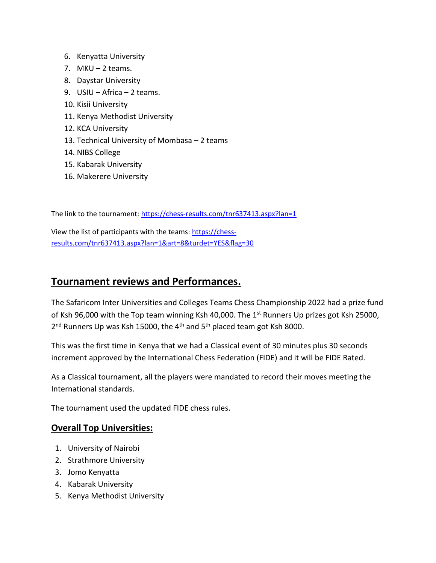- 6. Kenyatta University
- 7.  $MKU 2$  teams.
- 8. Daystar University
- 9. USIU Africa 2 teams.
- 10. Kisii University
- 11. Kenya Methodist University
- 12. KCA University
- 13. Technical University of Mombasa 2 teams
- 14. NIBS College
- 15. Kabarak University
- 16. Makerere University

The link to the tournament:<https://chess-results.com/tnr637413.aspx?lan=1>

View the list of participants with the teams[: https://chess](https://chess-results.com/tnr637413.aspx?lan=1&art=8&turdet=YES&flag=30)[results.com/tnr637413.aspx?lan=1&art=8&turdet=YES&flag=30](https://chess-results.com/tnr637413.aspx?lan=1&art=8&turdet=YES&flag=30)

# **Tournament reviews and Performances.**

The Safaricom Inter Universities and Colleges Teams Chess Championship 2022 had a prize fund of Ksh 96,000 with the Top team winning Ksh 40,000. The 1<sup>st</sup> Runners Up prizes got Ksh 25000, 2<sup>nd</sup> Runners Up was Ksh 15000, the 4<sup>th</sup> and 5<sup>th</sup> placed team got Ksh 8000.

This was the first time in Kenya that we had a Classical event of 30 minutes plus 30 seconds increment approved by the International Chess Federation (FIDE) and it will be FIDE Rated.

As a Classical tournament, all the players were mandated to record their moves meeting the International standards.

The tournament used the updated FIDE chess rules.

### **Overall Top Universities:**

- 1. University of Nairobi
- 2. Strathmore University
- 3. Jomo Kenyatta
- 4. Kabarak University
- 5. Kenya Methodist University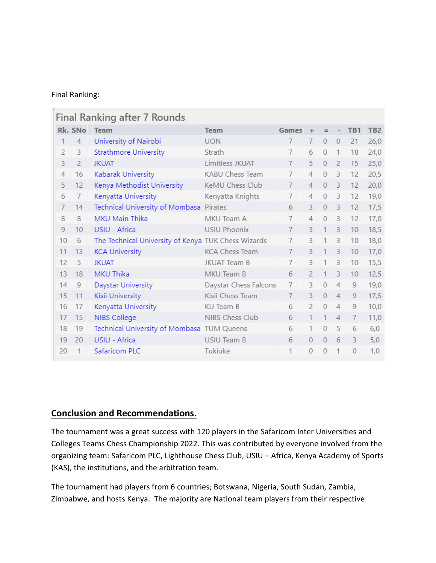#### Final Ranking:

 $\sqrt{2}$ 

| Rk. SNo Team<br><b>Team</b><br>TB1<br>TB <sub>2</sub><br>Games<br>÷<br>$=$<br>University of Nairobi<br><b>UON</b><br>7<br>$\bf 0$<br>$\overline{0}$<br>$\overline{4}$<br>7<br>21<br>26,0<br>1<br><b>Strathmore University</b><br>7<br>$\overline{2}$<br>Strath<br>6<br>$\theta$<br>1<br>18<br>24,0<br>3<br>Limitless JKUAT<br>25,0<br>3<br><b>JKUAT</b><br>5<br>$\overline{2}$<br>15<br>$\overline{z}$<br>7<br>$\theta$<br>Kabarak University<br>7<br>KABU Chess Team<br>$\Omega$<br>3<br>20,5<br>$\overline{4}$<br>16<br>$\overline{4}$<br>12<br>Kenya Methodist University<br>3<br>5<br>KeMU Chess Club<br>$\overline{7}$<br>$\mathbf{0}$<br>12<br>20,0<br>12<br>4<br>Kenyatta University<br>Kenyatta Knights<br>7<br>$\Omega$<br>3<br>12<br>19,0<br>6<br>4<br>7<br>Technical University of Mombasa Pirates<br>3<br>7<br>6<br>3<br>$\theta$<br>12<br>17,5<br>14<br><b>MKU Main Thika</b><br>7<br>3<br>8<br>8<br>MKU Team A<br>4<br>$\mathbf{0}$<br>12<br>17,0<br>USIU - Africa<br>USIU Phoenix<br>10<br>7<br>3<br>1<br>3<br>10<br>18,5<br>9<br>The Technical University of Kenya TUK Chess Wizards<br>$\overline{7}$<br>1<br>3<br>10<br>6<br>3<br>10<br>18,0<br><b>KCA University</b><br><b>KCA Chess Team</b><br>$\overline{7}$<br>1<br>3<br>11<br>13<br>3<br>10<br>17,0<br><b>JKUAT</b><br>7<br>3<br>15,5<br>12<br>5<br><b>JKUAT Team B</b><br>3<br>1<br>10<br><b>MKU Thika</b><br>$\overline{2}$<br>3<br>12,5<br>13<br>18<br>MKU Team B<br>6<br>1<br>10<br>$\overline{7}$<br>$\overline{4}$<br>Daystar University<br>Daystar Chess Falcons<br>3<br>$\mathbf 0$<br>9<br>19,0<br>14<br>9<br>Kisii University<br>Kisii Chess Team<br>$\overline{7}$<br>3<br>17,5<br>$\theta$<br>$\overline{4}$<br>9<br>15<br>11<br>6<br>$\mathcal{P}$<br>$\Omega$<br>$\overline{4}$<br>9<br>10,0<br>16<br>17<br>Kenyatta University<br>KU Team B<br>NIBS Chess Club<br>NIBS College<br>6<br>1<br>1<br>$\overline{4}$<br>7<br>17<br>15<br>11,0<br>Technical University of Mombasa TUM Queens<br>6<br>5<br>6<br>19<br>1<br>$\Omega$<br>6,0<br>18<br>USIU - Africa<br>3<br>$\mathbf{0}$<br>6<br>19<br>20<br>USIU Team B<br>6<br>$\overline{0}$<br>5,0<br>Tukiuke<br>1<br>1<br>Safaricom PLC<br>0<br>1<br>$\mathbf 0$<br>$\theta$<br>1,0<br>20 | Final Ranking after 7 Rounds |  |  |  |  |  |  |  |  |  |  |
|------------------------------------------------------------------------------------------------------------------------------------------------------------------------------------------------------------------------------------------------------------------------------------------------------------------------------------------------------------------------------------------------------------------------------------------------------------------------------------------------------------------------------------------------------------------------------------------------------------------------------------------------------------------------------------------------------------------------------------------------------------------------------------------------------------------------------------------------------------------------------------------------------------------------------------------------------------------------------------------------------------------------------------------------------------------------------------------------------------------------------------------------------------------------------------------------------------------------------------------------------------------------------------------------------------------------------------------------------------------------------------------------------------------------------------------------------------------------------------------------------------------------------------------------------------------------------------------------------------------------------------------------------------------------------------------------------------------------------------------------------------------------------------------------------------------------------------------------------------------------------------------------------------------------------------------------------------------------------------------------------------------------------------------------------------------------------------------------------------------------------------------------------------------------------------------------------------------------------|------------------------------|--|--|--|--|--|--|--|--|--|--|
|                                                                                                                                                                                                                                                                                                                                                                                                                                                                                                                                                                                                                                                                                                                                                                                                                                                                                                                                                                                                                                                                                                                                                                                                                                                                                                                                                                                                                                                                                                                                                                                                                                                                                                                                                                                                                                                                                                                                                                                                                                                                                                                                                                                                                              |                              |  |  |  |  |  |  |  |  |  |  |
|                                                                                                                                                                                                                                                                                                                                                                                                                                                                                                                                                                                                                                                                                                                                                                                                                                                                                                                                                                                                                                                                                                                                                                                                                                                                                                                                                                                                                                                                                                                                                                                                                                                                                                                                                                                                                                                                                                                                                                                                                                                                                                                                                                                                                              |                              |  |  |  |  |  |  |  |  |  |  |
|                                                                                                                                                                                                                                                                                                                                                                                                                                                                                                                                                                                                                                                                                                                                                                                                                                                                                                                                                                                                                                                                                                                                                                                                                                                                                                                                                                                                                                                                                                                                                                                                                                                                                                                                                                                                                                                                                                                                                                                                                                                                                                                                                                                                                              |                              |  |  |  |  |  |  |  |  |  |  |
|                                                                                                                                                                                                                                                                                                                                                                                                                                                                                                                                                                                                                                                                                                                                                                                                                                                                                                                                                                                                                                                                                                                                                                                                                                                                                                                                                                                                                                                                                                                                                                                                                                                                                                                                                                                                                                                                                                                                                                                                                                                                                                                                                                                                                              |                              |  |  |  |  |  |  |  |  |  |  |
|                                                                                                                                                                                                                                                                                                                                                                                                                                                                                                                                                                                                                                                                                                                                                                                                                                                                                                                                                                                                                                                                                                                                                                                                                                                                                                                                                                                                                                                                                                                                                                                                                                                                                                                                                                                                                                                                                                                                                                                                                                                                                                                                                                                                                              |                              |  |  |  |  |  |  |  |  |  |  |
|                                                                                                                                                                                                                                                                                                                                                                                                                                                                                                                                                                                                                                                                                                                                                                                                                                                                                                                                                                                                                                                                                                                                                                                                                                                                                                                                                                                                                                                                                                                                                                                                                                                                                                                                                                                                                                                                                                                                                                                                                                                                                                                                                                                                                              |                              |  |  |  |  |  |  |  |  |  |  |
|                                                                                                                                                                                                                                                                                                                                                                                                                                                                                                                                                                                                                                                                                                                                                                                                                                                                                                                                                                                                                                                                                                                                                                                                                                                                                                                                                                                                                                                                                                                                                                                                                                                                                                                                                                                                                                                                                                                                                                                                                                                                                                                                                                                                                              |                              |  |  |  |  |  |  |  |  |  |  |
|                                                                                                                                                                                                                                                                                                                                                                                                                                                                                                                                                                                                                                                                                                                                                                                                                                                                                                                                                                                                                                                                                                                                                                                                                                                                                                                                                                                                                                                                                                                                                                                                                                                                                                                                                                                                                                                                                                                                                                                                                                                                                                                                                                                                                              |                              |  |  |  |  |  |  |  |  |  |  |
|                                                                                                                                                                                                                                                                                                                                                                                                                                                                                                                                                                                                                                                                                                                                                                                                                                                                                                                                                                                                                                                                                                                                                                                                                                                                                                                                                                                                                                                                                                                                                                                                                                                                                                                                                                                                                                                                                                                                                                                                                                                                                                                                                                                                                              |                              |  |  |  |  |  |  |  |  |  |  |
|                                                                                                                                                                                                                                                                                                                                                                                                                                                                                                                                                                                                                                                                                                                                                                                                                                                                                                                                                                                                                                                                                                                                                                                                                                                                                                                                                                                                                                                                                                                                                                                                                                                                                                                                                                                                                                                                                                                                                                                                                                                                                                                                                                                                                              |                              |  |  |  |  |  |  |  |  |  |  |
|                                                                                                                                                                                                                                                                                                                                                                                                                                                                                                                                                                                                                                                                                                                                                                                                                                                                                                                                                                                                                                                                                                                                                                                                                                                                                                                                                                                                                                                                                                                                                                                                                                                                                                                                                                                                                                                                                                                                                                                                                                                                                                                                                                                                                              |                              |  |  |  |  |  |  |  |  |  |  |
|                                                                                                                                                                                                                                                                                                                                                                                                                                                                                                                                                                                                                                                                                                                                                                                                                                                                                                                                                                                                                                                                                                                                                                                                                                                                                                                                                                                                                                                                                                                                                                                                                                                                                                                                                                                                                                                                                                                                                                                                                                                                                                                                                                                                                              |                              |  |  |  |  |  |  |  |  |  |  |
|                                                                                                                                                                                                                                                                                                                                                                                                                                                                                                                                                                                                                                                                                                                                                                                                                                                                                                                                                                                                                                                                                                                                                                                                                                                                                                                                                                                                                                                                                                                                                                                                                                                                                                                                                                                                                                                                                                                                                                                                                                                                                                                                                                                                                              |                              |  |  |  |  |  |  |  |  |  |  |
|                                                                                                                                                                                                                                                                                                                                                                                                                                                                                                                                                                                                                                                                                                                                                                                                                                                                                                                                                                                                                                                                                                                                                                                                                                                                                                                                                                                                                                                                                                                                                                                                                                                                                                                                                                                                                                                                                                                                                                                                                                                                                                                                                                                                                              |                              |  |  |  |  |  |  |  |  |  |  |
|                                                                                                                                                                                                                                                                                                                                                                                                                                                                                                                                                                                                                                                                                                                                                                                                                                                                                                                                                                                                                                                                                                                                                                                                                                                                                                                                                                                                                                                                                                                                                                                                                                                                                                                                                                                                                                                                                                                                                                                                                                                                                                                                                                                                                              |                              |  |  |  |  |  |  |  |  |  |  |
|                                                                                                                                                                                                                                                                                                                                                                                                                                                                                                                                                                                                                                                                                                                                                                                                                                                                                                                                                                                                                                                                                                                                                                                                                                                                                                                                                                                                                                                                                                                                                                                                                                                                                                                                                                                                                                                                                                                                                                                                                                                                                                                                                                                                                              |                              |  |  |  |  |  |  |  |  |  |  |
|                                                                                                                                                                                                                                                                                                                                                                                                                                                                                                                                                                                                                                                                                                                                                                                                                                                                                                                                                                                                                                                                                                                                                                                                                                                                                                                                                                                                                                                                                                                                                                                                                                                                                                                                                                                                                                                                                                                                                                                                                                                                                                                                                                                                                              |                              |  |  |  |  |  |  |  |  |  |  |
|                                                                                                                                                                                                                                                                                                                                                                                                                                                                                                                                                                                                                                                                                                                                                                                                                                                                                                                                                                                                                                                                                                                                                                                                                                                                                                                                                                                                                                                                                                                                                                                                                                                                                                                                                                                                                                                                                                                                                                                                                                                                                                                                                                                                                              |                              |  |  |  |  |  |  |  |  |  |  |
|                                                                                                                                                                                                                                                                                                                                                                                                                                                                                                                                                                                                                                                                                                                                                                                                                                                                                                                                                                                                                                                                                                                                                                                                                                                                                                                                                                                                                                                                                                                                                                                                                                                                                                                                                                                                                                                                                                                                                                                                                                                                                                                                                                                                                              |                              |  |  |  |  |  |  |  |  |  |  |
|                                                                                                                                                                                                                                                                                                                                                                                                                                                                                                                                                                                                                                                                                                                                                                                                                                                                                                                                                                                                                                                                                                                                                                                                                                                                                                                                                                                                                                                                                                                                                                                                                                                                                                                                                                                                                                                                                                                                                                                                                                                                                                                                                                                                                              |                              |  |  |  |  |  |  |  |  |  |  |
|                                                                                                                                                                                                                                                                                                                                                                                                                                                                                                                                                                                                                                                                                                                                                                                                                                                                                                                                                                                                                                                                                                                                                                                                                                                                                                                                                                                                                                                                                                                                                                                                                                                                                                                                                                                                                                                                                                                                                                                                                                                                                                                                                                                                                              |                              |  |  |  |  |  |  |  |  |  |  |

## **Conclusion and Recommendations.**

The tournament was a great success with 120 players in the Safaricom Inter Universities and Colleges Teams Chess Championship 2022. This was contributed by everyone involved from the organizing team: Safaricom PLC, Lighthouse Chess Club, USIU – Africa, Kenya Academy of Sports (KAS), the institutions, and the arbitration team.

The tournament had players from 6 countries; Botswana, Nigeria, South Sudan, Zambia, Zimbabwe, and hosts Kenya. The majority are National team players from their respective